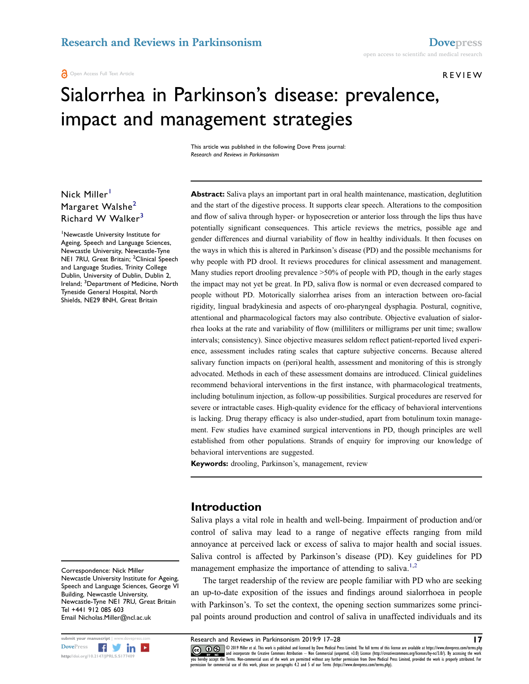Open Access Full Text Article

open access to scientific and medical research

#### REVIEW

# Sialorrhea in Parkinson's disease: prevalence, impact and management strategies

This article was published in the following Dove Press journal: Research and Reviews in Parkinsonism

# Nick Miller<sup>[1](#page-0-0)</sup> Margaret Walshe<sup>[2](#page-0-1)</sup> Richard W Walker<sup>[3](#page-0-2)</sup>

<span id="page-0-2"></span><span id="page-0-1"></span><span id="page-0-0"></span><sup>1</sup>Newcastle University Institute for Ageing, Speech and Language Sciences, Newcastle University, Newcastle-Tyne NEI 7RU, Great Britain; <sup>2</sup>Clinical Speech and Language Studies, Trinity College Dublin, University of Dublin, Dublin 2, Ireland; <sup>3</sup>Department of Medicine, North Tyneside General Hospital, North Shields, NE29 8NH, Great Britain

Correspondence: Nick Miller Newcastle University Institute for Ageing, Speech and Language Sciences, George VI Building, Newcastle University, Newcastle-Tyne NE1 7RU, Great Britain Tel +441 912 085 603 Email Nicholas.Miller@ncl.ac.uk



Abstract: Saliva plays an important part in oral health maintenance, mastication, deglutition and the start of the digestive process. It supports clear speech. Alterations to the composition and flow of saliva through hyper- or hyposecretion or anterior loss through the lips thus have potentially significant consequences. This article reviews the metrics, possible age and gender differences and diurnal variability of flow in healthy individuals. It then focuses on the ways in which this is altered in Parkinson's disease (PD) and the possible mechanisms for why people with PD drool. It reviews procedures for clinical assessment and management. Many studies report drooling prevalence >50% of people with PD, though in the early stages the impact may not yet be great. In PD, saliva flow is normal or even decreased compared to people without PD. Motorically sialorrhea arises from an interaction between oro-facial rigidity, lingual bradykinesia and aspects of oro-pharyngeal dysphagia. Postural, cognitive, attentional and pharmacological factors may also contribute. Objective evaluation of sialorrhea looks at the rate and variability of flow (milliliters or milligrams per unit time; swallow intervals; consistency). Since objective measures seldom reflect patient-reported lived experience, assessment includes rating scales that capture subjective concerns. Because altered salivary function impacts on (peri)oral health, assessment and monitoring of this is strongly advocated. Methods in each of these assessment domains are introduced. Clinical guidelines recommend behavioral interventions in the first instance, with pharmacological treatments, including botulinum injection, as follow-up possibilities. Surgical procedures are reserved for severe or intractable cases. High-quality evidence for the efficacy of behavioral interventions is lacking. Drug therapy efficacy is also under-studied, apart from botulinum toxin management. Few studies have examined surgical interventions in PD, though principles are well established from other populations. Strands of enquiry for improving our knowledge of behavioral interventions are suggested.

Keywords: drooling, Parkinson's, management, review

## Introduction

Saliva plays a vital role in health and well-being. Impairment of production and/or control of saliva may lead to a range of negative effects ranging from mild annoyance at perceived lack or excess of saliva to major health and social issues. Saliva control is affected by Parkinson's disease (PD). Key guidelines for PD management emphasize the importance of attending to saliva.<sup>[1](#page-8-0)[,2](#page-8-1)</sup>

<span id="page-0-3"></span>The target readership of the review are people familiar with PD who are seeking an up-to-date exposition of the issues and findings around sialorrhoea in people with Parkinson's. To set the context, the opening section summarizes some principal points around production and control of saliva in unaffected individuals and its

submit your manuscript | www.dovepress.com **Research and Reviews in Parkinsonism 2019:9 17—28**<br>[DovePress](http://www.dovepress.com) **Figures of the Confluent of Confluent** at This work is published and licensed by Dove Medical Press Limited. The ful www.particle.com and incorporate the Creative Commons Attribution — Non Commercial (unported, v3.0) License (http://creativecommons.org/licenses/by-nc/3.0/). By accessing the work<br>you hereby accept the Terms. Non-commercia permission for commercial use of this work, please see paragraphs 4.2 and 5 of our Terms (https://www.dovepress.com/terms.php).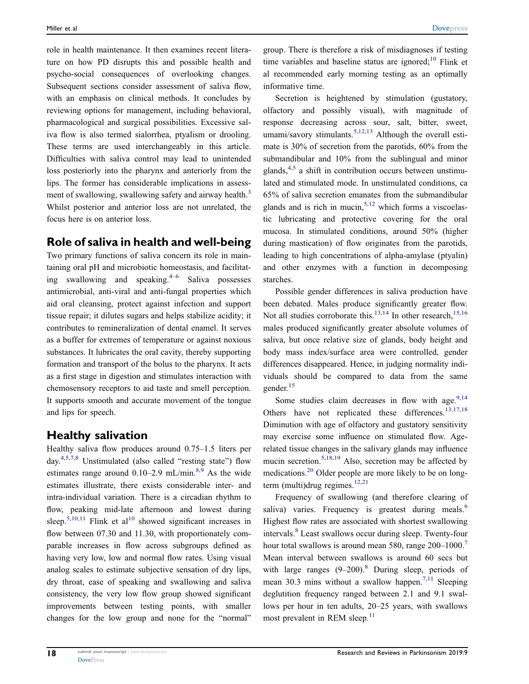role in health maintenance. It then examines recent literature on how PD disrupts this and possible health and psycho-social consequences of overlooking changes. Subsequent sections consider assessment of saliva flow, with an emphasis on clinical methods. It concludes by reviewing options for management, including behavioral, pharmacological and surgical possibilities. Excessive saliva flow is also termed sialorrhea, ptyalism or drooling. These terms are used interchangeably in this article. Difficulties with saliva control may lead to unintended loss posteriorly into the pharynx and anteriorly from the lips. The former has considerable implications in assess-ment of swallowing, swallowing safety and airway health.<sup>[3](#page-8-2)</sup> Whilst posterior and anterior loss are not unrelated, the focus here is on anterior loss.

# <span id="page-1-0"></span>Role of saliva in health and well-being

Two primary functions of saliva concern its role in maintaining oral pH and microbiotic homeostasis, and facilitating swallowing and speaking. $4-6$  $4-6$  $4-6$  Saliva possesses antimicrobial, anti-viral and anti-fungal properties which aid oral cleansing, protect against infection and support tissue repair; it dilutes sugars and helps stabilize acidity; it contributes to remineralization of dental enamel. It serves as a buffer for extremes of temperature or against noxious substances. It lubricates the oral cavity, thereby supporting formation and transport of the bolus to the pharynx. It acts as a first stage in digestion and stimulates interaction with chemosensory receptors to aid taste and smell perception. It supports smooth and accurate movement of the tongue and lips for speech.

## Healthy salivation

Healthy saliva flow produces around 0.75–1.5 liters per day[.4](#page-8-3),[5,](#page-8-5)[7](#page-8-6)[,8](#page-8-7) Unstimulated (also called "resting state") flow estimates range around  $0.10-2.9$  mL/min.<sup>[8](#page-8-7)[,9](#page-8-8)</sup> As the wide estimates illustrate, there exists considerable inter- and intra-individual variation. There is a circadian rhythm to flow, peaking mid-late afternoon and lowest during sleep.<sup>5,[10](#page-8-9)[,11](#page-8-10)</sup> Flink et al<sup>10</sup> showed significant increases in flow between 07.30 and 11.30, with proportionately comparable increases in flow across subgroups defined as having very low, low and normal flow rates. Using visual analog scales to estimate subjective sensation of dry lips, dry throat, ease of speaking and swallowing and saliva consistency, the very low flow group showed significant improvements between testing points, with smaller changes for the low group and none for the "normal"

<span id="page-1-7"></span>group. There is therefore a risk of misdiagnoses if testing time variables and baseline status are ignored;<sup>[10](#page-8-9)</sup> Flink et al recommended early morning testing as an optimally informative time.

<span id="page-1-1"></span>Secretion is heightened by stimulation (gustatory, olfactory and possibly visual), with magnitude of response decreasing across sour, salt, bitter, sweet, umami/savory stimulants.<sup>[5,](#page-8-5)[12](#page-8-11)[,13](#page-8-12)</sup> Although the overall estimate is 30% of secretion from the parotids, 60% from the submandibular and 10% from the sublingual and minor glands,  $4,5$  $4,5$  a shift in contribution occurs between unstimulated and stimulated mode. In unstimulated conditions, ca 65% of saliva secretion emanates from the submandibular glands and is rich in mucin,  $5,12$  $5,12$  $5,12$  which forms a viscoelastic lubricating and protective covering for the oral mucosa. In stimulated conditions, around 50% (higher during mastication) of flow originates from the parotids, leading to high concentrations of alpha-amylase (ptyalin) and other enzymes with a function in decomposing starches.

<span id="page-1-12"></span>Possible gender differences in saliva production have been debated. Males produce significantly greater flow. Not all studies corroborate this.<sup>[13,](#page-8-12)[14](#page-8-13)</sup> In other research,<sup>[15](#page-8-14),[16](#page-8-15)</sup> males produced significantly greater absolute volumes of saliva, but once relative size of glands, body height and body mass index/surface area were controlled, gender differences disappeared. Hence, in judging normality individuals should be compared to data from the same gender.<sup>[15](#page-8-14)</sup>

<span id="page-1-11"></span><span id="page-1-10"></span><span id="page-1-6"></span>Some studies claim decreases in flow with age. $9,14$  $9,14$  $9,14$ Others have not replicated these differences.<sup>[13,](#page-8-12)[17](#page-8-16),[18](#page-8-17)</sup> Diminution with age of olfactory and gustatory sensitivity may exercise some influence on stimulated flow. Agerelated tissue changes in the salivary glands may influence mucin secretion.<sup>[5,](#page-8-5)[18,](#page-8-17)[19](#page-8-18)</sup> Also, secretion may be affected by medications.[20](#page-8-19) Older people are more likely to be on longterm (multi)drug regimes. $12,21$  $12,21$ 

<span id="page-1-13"></span><span id="page-1-9"></span><span id="page-1-8"></span><span id="page-1-5"></span><span id="page-1-4"></span><span id="page-1-3"></span><span id="page-1-2"></span>Frequency of swallowing (and therefore clearing of saliva) varies. Frequency is greatest during meals.<sup>[6](#page-8-4)</sup> Highest flow rates are associated with shortest swallowing intervals.[8](#page-8-7) Least swallows occur during sleep. Twenty-four hour total swallows is around mean 580, range 200–1000.<sup>[7](#page-8-6)</sup> Mean interval between swallows is around 60 secs but with large ranges  $(9-200)$ .<sup>[8](#page-8-7)</sup> During sleep, periods of mean 30.3 mins without a swallow happen.<sup>7,[11](#page-8-10)</sup> Sleeping deglutition frequency ranged between 2.1 and 9.1 swallows per hour in ten adults, 20–25 years, with swallows most prevalent in REM sleep.<sup>[11](#page-8-10)</sup>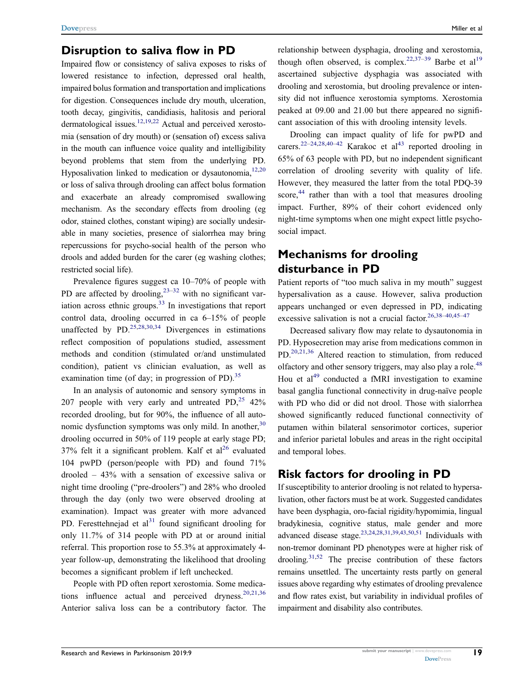# Disruption to saliva flow in PD

Impaired flow or consistency of saliva exposes to risks of lowered resistance to infection, depressed oral health, impaired bolus formation and transportation and implications for digestion. Consequences include dry mouth, ulceration, tooth decay, gingivitis, candidiasis, halitosis and perioral dermatological issues.<sup>[12,](#page-8-11)[19](#page-8-18),[22](#page-8-21)</sup> Actual and perceived xerostomia (sensation of dry mouth) or (sensation of) excess saliva in the mouth can influence voice quality and intelligibility beyond problems that stem from the underlying PD. Hyposalivation linked to medication or dysautonomia, $12,20$  $12,20$ or loss of saliva through drooling can affect bolus formation and exacerbate an already compromised swallowing mechanism. As the secondary effects from drooling (eg odor, stained clothes, constant wiping) are socially undesirable in many societies, presence of sialorrhea may bring repercussions for psycho-social health of the person who drools and added burden for the carer (eg washing clothes; restricted social life).

<span id="page-2-8"></span><span id="page-2-7"></span><span id="page-2-6"></span>Prevalence figures suggest ca 10–70% of people with PD are affected by drooling,  $2^{3-32}$  $2^{3-32}$  $2^{3-32}$  with no significant variation across ethnic groups. $33$  In investigations that report control data, drooling occurred in ca 6–15% of people unaffected by PD. $^{25,28,30,34}$  $^{25,28,30,34}$  $^{25,28,30,34}$  $^{25,28,30,34}$  $^{25,28,30,34}$  $^{25,28,30,34}$  $^{25,28,30,34}$  Divergences in estimations reflect composition of populations studied, assessment methods and condition (stimulated or/and unstimulated condition), patient vs clinician evaluation, as well as examination time (of day; in progression of PD). $^{35}$  $^{35}$  $^{35}$ 

<span id="page-2-9"></span><span id="page-2-4"></span><span id="page-2-2"></span>In an analysis of autonomic and sensory symptoms in 207 people with very early and untreated  $PD<sub>1</sub><sup>25</sup> 42%$  $PD<sub>1</sub><sup>25</sup> 42%$  $PD<sub>1</sub><sup>25</sup> 42%$ recorded drooling, but for 90%, the influence of all autonomic dysfunction symptoms was only mild. In another,  $30$ drooling occurred in 50% of 119 people at early stage PD; 37% felt it a significant problem. Kalf et  $al^{26}$  evaluated 104 pwPD (person/people with PD) and found 71% drooled – 43% with a sensation of excessive saliva or night time drooling ("pre-droolers") and 28% who drooled through the day (only two were observed drooling at examination). Impact was greater with more advanced PD. Feresttehnejad et  $al<sup>31</sup>$  $al<sup>31</sup>$  $al<sup>31</sup>$  found significant drooling for only 11.7% of 314 people with PD at or around initial referral. This proportion rose to 55.3% at approximately 4 year follow-up, demonstrating the likelihood that drooling becomes a significant problem if left unchecked.

People with PD often report xerostomia. Some medications influence actual and perceived dryness. $20,21,36$  $20,21,36$  $20,21,36$ Anterior saliva loss can be a contributory factor. The <span id="page-2-11"></span>relationship between dysphagia, drooling and xerostomia, though often observed, is complex.<sup>[22](#page-8-21)[,37](#page-8-33)–[39](#page-8-34)</sup> Barbe et al<sup>[19](#page-8-18)</sup> ascertained subjective dysphagia was associated with drooling and xerostomia, but drooling prevalence or intensity did not influence xerostomia symptoms. Xerostomia peaked at 09.00 and 21.00 but there appeared no significant association of this with drooling intensity levels.

<span id="page-2-12"></span><span id="page-2-0"></span>Drooling can impact quality of life for pwPD and carers.<sup>[22](#page-8-21)-[24,](#page-8-35)[28](#page-8-26)[,40](#page-8-36)-[42](#page-9-0)</sup> Karakoc et al<sup>[43](#page-9-1)</sup> reported drooling in 65% of 63 people with PD, but no independent significant correlation of drooling severity with quality of life. However, they measured the latter from the total PDQ-39 score,<sup>[44](#page-9-2)</sup> rather than with a tool that measures drooling impact. Further, 89% of their cohort evidenced only night-time symptoms when one might expect little psychosocial impact.

# Mechanisms for drooling disturbance in PD

Patient reports of "too much saliva in my mouth" suggest hypersalivation as a cause. However, saliva production appears unchanged or even depressed in PD, indicating excessive salivation is not a crucial factor.<sup>26[,38](#page-8-37)–[40](#page-8-36)[,45](#page-9-3)–[47](#page-9-4)</sup>

<span id="page-2-14"></span><span id="page-2-13"></span><span id="page-2-10"></span><span id="page-2-3"></span>Decreased salivary flow may relate to dysautonomia in PD. Hyposecretion may arise from medications common in PD[.20](#page-8-19)[,21,](#page-8-20)[36](#page-8-32) Altered reaction to stimulation, from reduced olfactory and other sensory triggers, may also play a role.<sup>[48](#page-9-5)</sup> Hou et  $al^{49}$  $al^{49}$  $al^{49}$  conducted a fMRI investigation to examine basal ganglia functional connectivity in drug-naïve people with PD who did or did not drool. Those with sialorrhea showed significantly reduced functional connectivity of putamen within bilateral sensorimotor cortices, superior and inferior parietal lobules and areas in the right occipital and temporal lobes.

# Risk factors for drooling in PD

<span id="page-2-5"></span><span id="page-2-1"></span>If susceptibility to anterior drooling is not related to hypersalivation, other factors must be at work. Suggested candidates have been dysphagia, oro-facial rigidity/hypomimia, lingual bradykinesia, cognitive status, male gender and more advanced disease stage.<sup>[23](#page-8-22),[24](#page-8-35),[28](#page-8-26)[,31](#page-8-31)[,39](#page-8-34)[,43](#page-9-1)[,50,](#page-9-7)[51](#page-9-8)</sup> Individuals with non-tremor dominant PD phenotypes were at higher risk of drooling. $31,52$  $31,52$  The precise contribution of these factors remains unsettled. The uncertainty rests partly on general issues above regarding why estimates of drooling prevalence and flow rates exist, but variability in individual profiles of impairment and disability also contributes.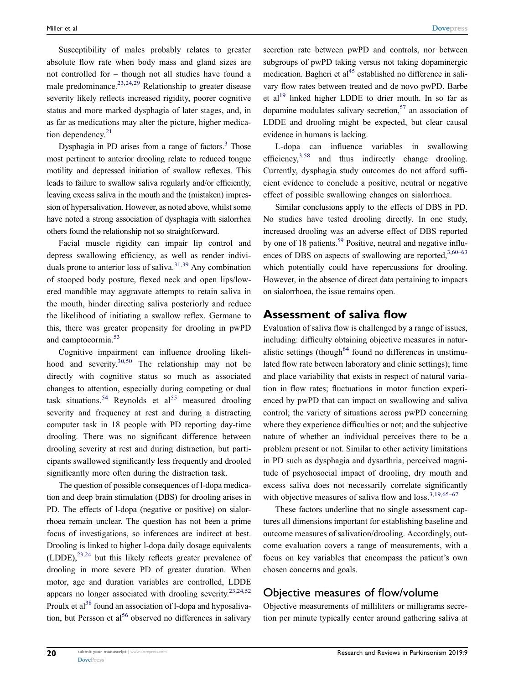**Miller et al [Dovepress](http://www.dovepress.com) Doveptess** 

<span id="page-3-0"></span>Susceptibility of males probably relates to greater absolute flow rate when body mass and gland sizes are not controlled for – though not all studies have found a male predominance.<sup>[23](#page-8-22)[,24,](#page-8-35)[29](#page-8-38)</sup> Relationship to greater disease severity likely reflects increased rigidity, poorer cognitive status and more marked dysphagia of later stages, and, in as far as medications may alter the picture, higher medication dependency. $21$ 

Dysphagia in PD arises from a range of factors. $3$  Those most pertinent to anterior drooling relate to reduced tongue motility and depressed initiation of swallow reflexes. This leads to failure to swallow saliva regularly and/or efficiently, leaving excess saliva in the mouth and the (mistaken) impression of hypersalivation. However, as noted above, whilst some have noted a strong association of dysphagia with sialorrhea others found the relationship not so straightforward.

Facial muscle rigidity can impair lip control and depress swallowing efficiency, as well as render indivi-duals prone to anterior loss of saliva.<sup>[31](#page-8-31),[39](#page-8-34)</sup> Any combination of stooped body posture, flexed neck and open lips/lowered mandible may aggravate attempts to retain saliva in the mouth, hinder directing saliva posteriorly and reduce the likelihood of initiating a swallow reflex. Germane to this, there was greater propensity for drooling in pwPD and camptocormia.<sup>[53](#page-9-10)</sup>

<span id="page-3-2"></span><span id="page-3-1"></span>Cognitive impairment can influence drooling likeli-hood and severity.<sup>[30,](#page-8-27)[50](#page-9-7)</sup> The relationship may not be directly with cognitive status so much as associated changes to attention, especially during competing or dual task situations.<sup>[54](#page-9-11)</sup> Reynolds et al<sup>[55](#page-9-12)</sup> measured drooling severity and frequency at rest and during a distracting computer task in 18 people with PD reporting day-time drooling. There was no significant difference between drooling severity at rest and during distraction, but participants swallowed significantly less frequently and drooled significantly more often during the distraction task.

<span id="page-3-3"></span>The question of possible consequences of l-dopa medication and deep brain stimulation (DBS) for drooling arises in PD. The effects of l-dopa (negative or positive) on sialorrhoea remain unclear. The question has not been a prime focus of investigations, so inferences are indirect at best. Drooling is linked to higher l-dopa daily dosage equivalents  $(LDDE)$ ,  $23,24$  $23,24$  but this likely reflects greater prevalence of drooling in more severe PD of greater duration. When motor, age and duration variables are controlled, LDDE appears no longer associated with drooling severity.<sup>23[,24,](#page-8-35)[52](#page-9-9)</sup> Proulx et  $al^{38}$  $al^{38}$  $al^{38}$  found an association of l-dopa and hyposalivation, but Persson et al<sup>56</sup> observed no differences in salivary

secretion rate between pwPD and controls, nor between subgroups of pwPD taking versus not taking dopaminergic medication. Bagheri et  $al<sup>45</sup>$  $al<sup>45</sup>$  $al<sup>45</sup>$  established no difference in salivary flow rates between treated and de novo pwPD. Barbe et al<sup>19</sup> linked higher LDDE to drier mouth. In so far as dopamine modulates salivary secretion, $57$  an association of LDDE and drooling might be expected, but clear causal evidence in humans is lacking.

<span id="page-3-5"></span><span id="page-3-4"></span>L-dopa can influence variables in swallowing efficiency,<sup>3,[58](#page-9-15)</sup> and thus indirectly change drooling. Currently, dysphagia study outcomes do not afford sufficient evidence to conclude a positive, neutral or negative effect of possible swallowing changes on sialorrhoea.

<span id="page-3-7"></span><span id="page-3-6"></span>Similar conclusions apply to the effects of DBS in PD. No studies have tested drooling directly. In one study, increased drooling was an adverse effect of DBS reported by one of 18 patients.<sup>[59](#page-9-16)</sup> Positive, neutral and negative influences of DBS on aspects of swallowing are reported, $3,60-63$  $3,60-63$  $3,60-63$  $3,60-63$ which potentially could have repercussions for drooling. However, in the absence of direct data pertaining to impacts on sialorrhoea, the issue remains open.

# Assessment of saliva flow

<span id="page-3-8"></span>Evaluation of saliva flow is challenged by a range of issues, including: difficulty obtaining objective measures in naturalistic settings (though $^{64}$  $^{64}$  $^{64}$  found no differences in unstimulated flow rate between laboratory and clinic settings); time and place variability that exists in respect of natural variation in flow rates; fluctuations in motor function experienced by pwPD that can impact on swallowing and saliva control; the variety of situations across pwPD concerning where they experience difficulties or not; and the subjective nature of whether an individual perceives there to be a problem present or not. Similar to other activity limitations in PD such as dysphagia and dysarthria, perceived magnitude of psychosocial impact of drooling, dry mouth and excess saliva does not necessarily correlate significantly with objective measures of saliva flow and loss. $3,19,65-67$  $3,19,65-67$  $3,19,65-67$  $3,19,65-67$  $3,19,65-67$ 

<span id="page-3-9"></span>These factors underline that no single assessment captures all dimensions important for establishing baseline and outcome measures of salivation/drooling. Accordingly, outcome evaluation covers a range of measurements, with a focus on key variables that encompass the patient's own chosen concerns and goals.

# Objective measures of flow/volume

Objective measurements of milliliters or milligrams secretion per minute typically center around gathering saliva at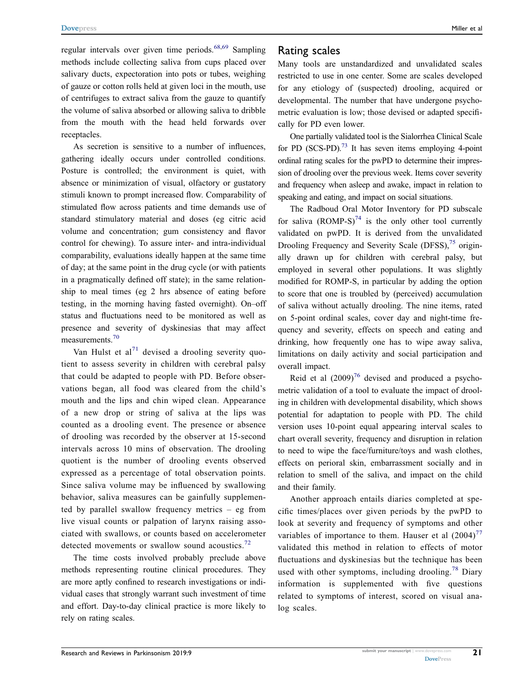<span id="page-4-0"></span>regular intervals over given time periods.<sup>[68](#page-9-22),[69](#page-9-23)</sup> Sampling methods include collecting saliva from cups placed over salivary ducts, expectoration into pots or tubes, weighing of gauze or cotton rolls held at given loci in the mouth, use of centrifuges to extract saliva from the gauze to quantify the volume of saliva absorbed or allowing saliva to dribble from the mouth with the head held forwards over receptacles.

As secretion is sensitive to a number of influences, gathering ideally occurs under controlled conditions. Posture is controlled; the environment is quiet, with absence or minimization of visual, olfactory or gustatory stimuli known to prompt increased flow. Comparability of stimulated flow across patients and time demands use of standard stimulatory material and doses (eg citric acid volume and concentration; gum consistency and flavor control for chewing). To assure inter- and intra-individual comparability, evaluations ideally happen at the same time of day; at the same point in the drug cycle (or with patients in a pragmatically defined off state); in the same relationship to meal times (eg 2 hrs absence of eating before testing, in the morning having fasted overnight). On–off status and fluctuations need to be monitored as well as presence and severity of dyskinesias that may affect measurements.[70](#page-9-24)

<span id="page-4-2"></span><span id="page-4-1"></span>Van Hulst et al<sup>[71](#page-9-25)</sup> devised a drooling severity quotient to assess severity in children with cerebral palsy that could be adapted to people with PD. Before observations began, all food was cleared from the child's mouth and the lips and chin wiped clean. Appearance of a new drop or string of saliva at the lips was counted as a drooling event. The presence or absence of drooling was recorded by the observer at 15-second intervals across 10 mins of observation. The drooling quotient is the number of drooling events observed expressed as a percentage of total observation points. Since saliva volume may be influenced by swallowing behavior, saliva measures can be gainfully supplemented by parallel swallow frequency metrics – eg from live visual counts or palpation of larynx raising associated with swallows, or counts based on accelerometer detected movements or swallow sound acoustics.<sup>[72](#page-9-26)</sup>

<span id="page-4-3"></span>The time costs involved probably preclude above methods representing routine clinical procedures. They are more aptly confined to research investigations or individual cases that strongly warrant such investment of time and effort. Day-to-day clinical practice is more likely to rely on rating scales.

#### Rating scales

Many tools are unstandardized and unvalidated scales restricted to use in one center. Some are scales developed for any etiology of (suspected) drooling, acquired or developmental. The number that have undergone psychometric evaluation is low; those devised or adapted specifically for PD even lower.

<span id="page-4-4"></span>One partially validated tool is the Sialorrhea Clinical Scale for PD (SCS-PD).<sup>73</sup> It has seven items employing 4-point ordinal rating scales for the pwPD to determine their impression of drooling over the previous week. Items cover severity and frequency when asleep and awake, impact in relation to speaking and eating, and impact on social situations.

<span id="page-4-6"></span><span id="page-4-5"></span>The Radboud Oral Motor Inventory for PD subscale for saliva  $(ROMP-S)^{74}$  $(ROMP-S)^{74}$  $(ROMP-S)^{74}$  is the only other tool currently validated on pwPD. It is derived from the unvalidated Drooling Frequency and Severity Scale  $(DFSS)$ ,<sup>75</sup> originally drawn up for children with cerebral palsy, but employed in several other populations. It was slightly modified for ROMP-S, in particular by adding the option to score that one is troubled by (perceived) accumulation of saliva without actually drooling. The nine items, rated on 5-point ordinal scales, cover day and night-time frequency and severity, effects on speech and eating and drinking, how frequently one has to wipe away saliva, limitations on daily activity and social participation and overall impact.

<span id="page-4-7"></span>Reid et al  $(2009)^{76}$  $(2009)^{76}$  $(2009)^{76}$  devised and produced a psychometric validation of a tool to evaluate the impact of drooling in children with developmental disability, which shows potential for adaptation to people with PD. The child version uses 10-point equal appearing interval scales to chart overall severity, frequency and disruption in relation to need to wipe the face/furniture/toys and wash clothes, effects on perioral skin, embarrassment socially and in relation to smell of the saliva, and impact on the child and their family.

<span id="page-4-9"></span><span id="page-4-8"></span>Another approach entails diaries completed at specific times/places over given periods by the pwPD to look at severity and frequency of symptoms and other variables of importance to them. Hauser et al  $(2004)^{77}$  $(2004)^{77}$  $(2004)^{77}$ validated this method in relation to effects of motor fluctuations and dyskinesias but the technique has been used with other symptoms, including drooling.<sup>[78](#page-9-32)</sup> Diary information is supplemented with five questions related to symptoms of interest, scored on visual analog scales.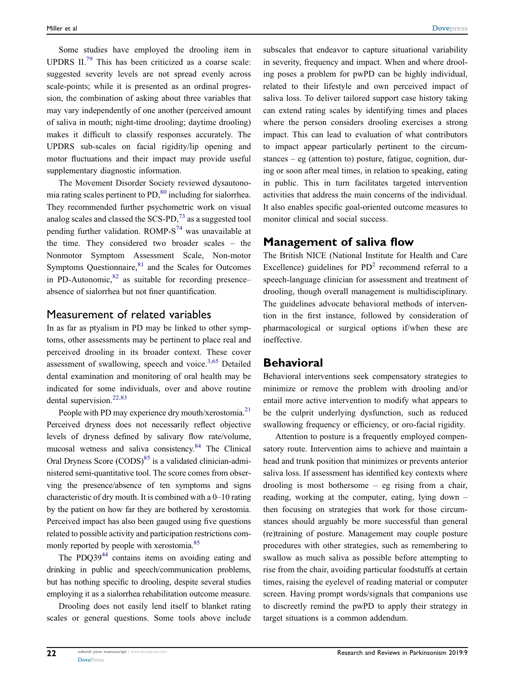<span id="page-5-0"></span>Some studies have employed the drooling item in UPDRS  $II.^{79}$  $II.^{79}$  $II.^{79}$  This has been criticized as a coarse scale: suggested severity levels are not spread evenly across scale-points; while it is presented as an ordinal progression, the combination of asking about three variables that may vary independently of one another (perceived amount of saliva in mouth; night-time drooling; daytime drooling) makes it difficult to classify responses accurately. The UPDRS sub-scales on facial rigidity/lip opening and motor fluctuations and their impact may provide useful supplementary diagnostic information.

<span id="page-5-1"></span>The Movement Disorder Society reviewed dysautonomia rating scales pertinent to  $PD<sub>1</sub><sup>80</sup>$  including for sialorrhea. They recommended further psychometric work on visual analog scales and classed the SCS-PD,<sup>[73](#page-9-27)</sup> as a suggested tool pending further validation.  $ROMP-S^{74}$  $ROMP-S^{74}$  $ROMP-S^{74}$  was unavailable at the time. They considered two broader scales – the Nonmotor Symptom Assessment Scale, Non-motor Symptoms Questionnaire, $81$  and the Scales for Outcomes in PD-Autonomic, ${}^{82}$  ${}^{82}$  ${}^{82}$  as suitable for recording presence– absence of sialorrhea but not finer quantification.

# <span id="page-5-3"></span><span id="page-5-2"></span>Measurement of related variables

In as far as ptyalism in PD may be linked to other symptoms, other assessments may be pertinent to place real and perceived drooling in its broader context. These cover assessment of swallowing, speech and voice. $3,65$  $3,65$  Detailed dental examination and monitoring of oral health may be indicated for some individuals, over and above routine dental supervision.<sup>[22,](#page-8-21)[83](#page-10-4)</sup>

<span id="page-5-5"></span><span id="page-5-4"></span>People with PD may experience dry mouth/xerostomia.<sup>21</sup> Perceived dryness does not necessarily reflect objective levels of dryness defined by salivary flow rate/volume, mucosal wetness and saliva consistency.<sup>84</sup> The Clinical Oral Dryness Score (CODS)<sup>85</sup> is a validated clinician-administered semi-quantitative tool. The score comes from observing the presence/absence of ten symptoms and signs characteristic of dry mouth. It is combined with a 0–10 rating by the patient on how far they are bothered by xerostomia. Perceived impact has also been gauged using five questions related to possible activity and participation restrictions commonly reported by people with xerostomia.<sup>85</sup>

<span id="page-5-6"></span>The PDQ39<sup>[44](#page-9-2)</sup> contains items on avoiding eating and drinking in public and speech/communication problems, but has nothing specific to drooling, despite several studies employing it as a sialorrhea rehabilitation outcome measure.

Drooling does not easily lend itself to blanket rating scales or general questions. Some tools above include subscales that endeavor to capture situational variability in severity, frequency and impact. When and where drooling poses a problem for pwPD can be highly individual, related to their lifestyle and own perceived impact of saliva loss. To deliver tailored support case history taking can extend rating scales by identifying times and places where the person considers drooling exercises a strong impact. This can lead to evaluation of what contributors to impact appear particularly pertinent to the circumstances – eg (attention to) posture, fatigue, cognition, during or soon after meal times, in relation to speaking, eating in public. This in turn facilitates targeted intervention activities that address the main concerns of the individual. It also enables specific goal-oriented outcome measures to monitor clinical and social success.

# Management of saliva flow

The British NICE (National Institute for Health and Care Excellence) guidelines for  $PD<sup>2</sup>$  $PD<sup>2</sup>$  $PD<sup>2</sup>$  recommend referral to a speech-language clinician for assessment and treatment of drooling, though overall management is multidisciplinary. The guidelines advocate behavioral methods of intervention in the first instance, followed by consideration of pharmacological or surgical options if/when these are ineffective.

## Behavioral

Behavioral interventions seek compensatory strategies to minimize or remove the problem with drooling and/or entail more active intervention to modify what appears to be the culprit underlying dysfunction, such as reduced swallowing frequency or efficiency, or oro-facial rigidity.

Attention to posture is a frequently employed compensatory route. Intervention aims to achieve and maintain a head and trunk position that minimizes or prevents anterior saliva loss. If assessment has identified key contexts where drooling is most bothersome – eg rising from a chair, reading, working at the computer, eating, lying down – then focusing on strategies that work for those circumstances should arguably be more successful than general (re)training of posture. Management may couple posture procedures with other strategies, such as remembering to swallow as much saliva as possible before attempting to rise from the chair, avoiding particular foodstuffs at certain times, raising the eyelevel of reading material or computer screen. Having prompt words/signals that companions use to discreetly remind the pwPD to apply their strategy in target situations is a common addendum.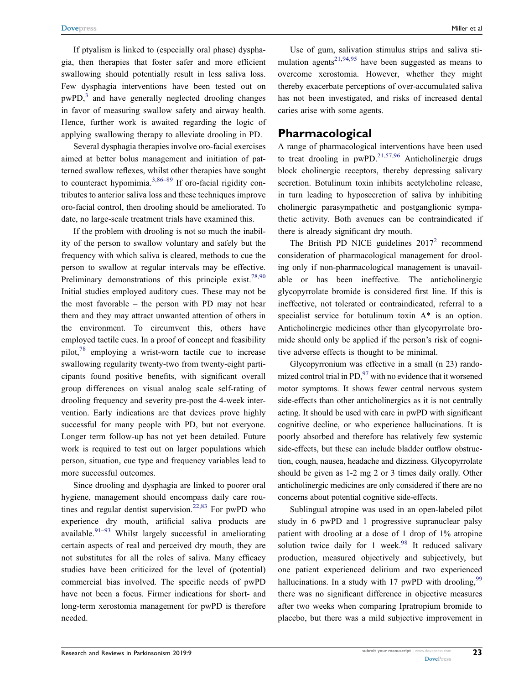If ptyalism is linked to (especially oral phase) dysphagia, then therapies that foster safer and more efficient swallowing should potentially result in less saliva loss. Few dysphagia interventions have been tested out on  $pwPD<sub>1</sub><sup>3</sup>$  $pwPD<sub>1</sub><sup>3</sup>$  $pwPD<sub>1</sub><sup>3</sup>$  and have generally neglected drooling changes in favor of measuring swallow safety and airway health. Hence, further work is awaited regarding the logic of applying swallowing therapy to alleviate drooling in PD.

<span id="page-6-0"></span>Several dysphagia therapies involve oro-facial exercises aimed at better bolus management and initiation of patterned swallow reflexes, whilst other therapies have sought to counteract hypomimia.<sup>[3](#page-8-2)[,86](#page-10-7)–[89](#page-10-8)</sup> If oro-facial rigidity contributes to anterior saliva loss and these techniques improve oro-facial control, then drooling should be ameliorated. To date, no large-scale treatment trials have examined this.

<span id="page-6-1"></span>If the problem with drooling is not so much the inability of the person to swallow voluntary and safely but the frequency with which saliva is cleared, methods to cue the person to swallow at regular intervals may be effective. Preliminary demonstrations of this principle exist.<sup>[78](#page-9-32)[,90](#page-10-9)</sup> Initial studies employed auditory cues. These may not be the most favorable – the person with PD may not hear them and they may attract unwanted attention of others in the environment. To circumvent this, others have employed tactile cues. In a proof of concept and feasibility pilot,[78](#page-9-32) employing a wrist-worn tactile cue to increase swallowing regularity twenty-two from twenty-eight participants found positive benefits, with significant overall group differences on visual analog scale self-rating of drooling frequency and severity pre-post the 4-week intervention. Early indications are that devices prove highly successful for many people with PD, but not everyone. Longer term follow-up has not yet been detailed. Future work is required to test out on larger populations which person, situation, cue type and frequency variables lead to more successful outcomes.

<span id="page-6-2"></span>Since drooling and dysphagia are linked to poorer oral hygiene, management should encompass daily care rou-tines and regular dentist supervision.<sup>[22,](#page-8-21)[83](#page-10-4)</sup> For pwPD who experience dry mouth, artificial saliva products are available.<sup>[91](#page-10-10)–[93](#page-10-11)</sup> Whilst largely successful in ameliorating certain aspects of real and perceived dry mouth, they are not substitutes for all the roles of saliva. Many efficacy studies have been criticized for the level of (potential) commercial bias involved. The specific needs of pwPD have not been a focus. Firmer indications for short- and long-term xerostomia management for pwPD is therefore needed.

<span id="page-6-3"></span>Use of gum, salivation stimulus strips and saliva sti-mulation agents<sup>21,[94](#page-10-12),[95](#page-10-13)</sup> have been suggested as means to overcome xerostomia. However, whether they might thereby exacerbate perceptions of over-accumulated saliva has not been investigated, and risks of increased dental caries arise with some agents.

## Pharmacological

<span id="page-6-4"></span>A range of pharmacological interventions have been used to treat drooling in  $pwpD$ <sup>[21](#page-8-20)[,57,](#page-9-14)[96](#page-10-14)</sup> Anticholinergic drugs block cholinergic receptors, thereby depressing salivary secretion. Botulinum toxin inhibits acetylcholine release, in turn leading to hyposecretion of saliva by inhibiting cholinergic parasympathetic and postganglionic sympathetic activity. Both avenues can be contraindicated if there is already significant dry mouth.

The British PD NICE guidelines  $2017<sup>2</sup>$  $2017<sup>2</sup>$  recommend consideration of pharmacological management for drooling only if non-pharmacological management is unavailable or has been ineffective. The anticholinergic glycopyrrolate bromide is considered first line. If this is ineffective, not tolerated or contraindicated, referral to a specialist service for botulinum toxin A\* is an option. Anticholinergic medicines other than glycopyrrolate bromide should only be applied if the person's risk of cognitive adverse effects is thought to be minimal.

<span id="page-6-5"></span>Glycopyrronium was effective in a small (n 23) randomized control trial in  $PD<sub>1</sub><sup>97</sup>$  $PD<sub>1</sub><sup>97</sup>$  $PD<sub>1</sub><sup>97</sup>$  with no evidence that it worsened motor symptoms. It shows fewer central nervous system side-effects than other anticholinergics as it is not centrally acting. It should be used with care in pwPD with significant cognitive decline, or who experience hallucinations. It is poorly absorbed and therefore has relatively few systemic side-effects, but these can include bladder outflow obstruction, cough, nausea, headache and dizziness. Glycopyrrolate should be given as 1-2 mg 2 or 3 times daily orally. Other anticholinergic medicines are only considered if there are no concerns about potential cognitive side-effects.

<span id="page-6-7"></span><span id="page-6-6"></span>Sublingual atropine was used in an open-labeled pilot study in 6 pwPD and 1 progressive supranuclear palsy patient with drooling at a dose of 1 drop of 1% atropine solution twice daily for 1 week.<sup>[98](#page-10-16)</sup> It reduced salivary production, measured objectively and subjectively, but one patient experienced delirium and two experienced hallucinations. In a study with  $17$  pwPD with drooling,  $99$ there was no significant difference in objective measures after two weeks when comparing Ipratropium bromide to placebo, but there was a mild subjective improvement in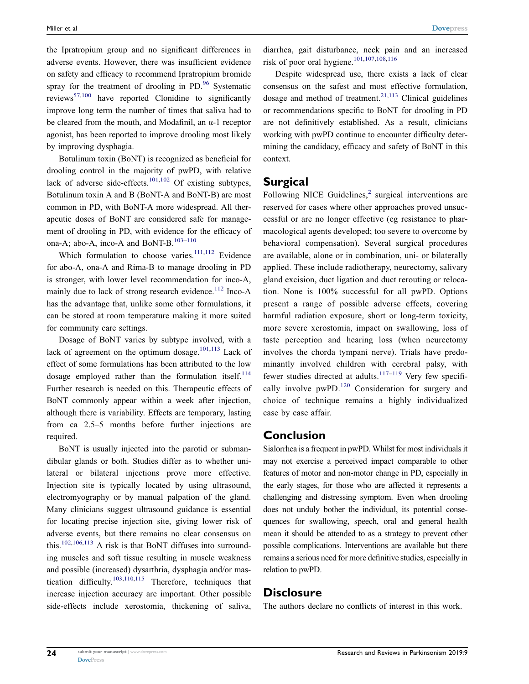<span id="page-7-0"></span>the Ipratropium group and no significant differences in adverse events. However, there was insufficient evidence on safety and efficacy to recommend Ipratropium bromide spray for the treatment of drooling in  $PD<sup>96</sup>$  $PD<sup>96</sup>$  $PD<sup>96</sup>$  Systematic reviews<sup>57[,100](#page-10-18)</sup> have reported Clonidine to significantly improve long term the number of times that saliva had to be cleared from the mouth, and Modafinil, an α-1 receptor agonist, has been reported to improve drooling most likely by improving dysphagia.

Botulinum toxin (BoNT) is recognized as beneficial for drooling control in the majority of pwPD, with relative lack of adverse side-effects.<sup>101[,102](#page-10-20)</sup> Of existing subtypes, Botulinum toxin A and B (BoNT-A and BoNT-B) are most common in PD, with BoNT-A more widespread. All therapeutic doses of BoNT are considered safe for management of drooling in PD, with evidence for the efficacy of ona-A; abo-A, inco-A and BoNT-B.<sup>103–[110](#page-10-22)</sup>

<span id="page-7-5"></span><span id="page-7-4"></span>Which formulation to choose varies.<sup>[111](#page-10-23)[,112](#page-10-24)</sup> Evidence for abo-A, ona-A and Rima-B to manage drooling in PD is stronger, with lower level recommendation for inco-A, mainly due to lack of strong research evidence.<sup>112</sup> Inco-A has the advantage that, unlike some other formulations, it can be stored at room temperature making it more suited for community care settings.

<span id="page-7-7"></span>Dosage of BoNT varies by subtype involved, with a lack of agreement on the optimum dosage. $101,113$  $101,113$  Lack of effect of some formulations has been attributed to the low dosage employed rather than the formulation itself. $114$ Further research is needed on this. Therapeutic effects of BoNT commonly appear within a week after injection, although there is variability. Effects are temporary, lasting from ca 2.5–5 months before further injections are required.

<span id="page-7-3"></span><span id="page-7-2"></span>BoNT is usually injected into the parotid or submandibular glands or both. Studies differ as to whether unilateral or bilateral injections prove more effective. Injection site is typically located by using ultrasound, electromyography or by manual palpation of the gland. Many clinicians suggest ultrasound guidance is essential for locating precise injection site, giving lower risk of adverse events, but there remains no clear consensus on this.<sup>[102](#page-10-20)[,106](#page-10-27)[,113](#page-10-25)</sup> A risk is that BoNT diffuses into surrounding muscles and soft tissue resulting in muscle weakness and possible (increased) dysarthria, dysphagia and/or mastication difficulty[.103,](#page-10-21)[110,](#page-10-22)[115](#page-10-28) Therefore, techniques that increase injection accuracy are important. Other possible side-effects include xerostomia, thickening of saliva,

<span id="page-7-1"></span>diarrhea, gait disturbance, neck pain and an increased risk of poor oral hygiene.<sup>101,[107,](#page-10-29)[108,](#page-10-30)[116](#page-10-31)</sup>

<span id="page-7-6"></span>Despite widespread use, there exists a lack of clear consensus on the safest and most effective formulation, dosage and method of treatment.<sup>[21](#page-8-20)[,113](#page-10-25)</sup> Clinical guidelines or recommendations specific to BoNT for drooling in PD are not definitively established. As a result, clinicians working with pwPD continue to encounter difficulty determining the candidacy, efficacy and safety of BoNT in this context.

#### Surgical

Following NICE Guidelines, $\frac{2}{3}$  $\frac{2}{3}$  $\frac{2}{3}$  surgical interventions are reserved for cases where other approaches proved unsuccessful or are no longer effective (eg resistance to pharmacological agents developed; too severe to overcome by behavioral compensation). Several surgical procedures are available, alone or in combination, uni- or bilaterally applied. These include radiotherapy, neurectomy, salivary gland excision, duct ligation and duct rerouting or relocation. None is 100% successful for all pwPD. Options present a range of possible adverse effects, covering harmful radiation exposure, short or long-term toxicity, more severe xerostomia, impact on swallowing, loss of taste perception and hearing loss (when neurectomy involves the chorda tympani nerve). Trials have predominantly involved children with cerebral palsy, with fewer studies directed at adults.<sup>[117](#page-11-0)–[119](#page-11-1)</sup> Very few specifically involve  $pwPD$ <sup>[120](#page-11-2)</sup> Consideration for surgery and choice of technique remains a highly individualized case by case affair.

## <span id="page-7-9"></span><span id="page-7-8"></span>Conclusion

Sialorrhea is a frequent in pwPD. Whilst for most individuals it may not exercise a perceived impact comparable to other features of motor and non-motor change in PD, especially in the early stages, for those who are affected it represents a challenging and distressing symptom. Even when drooling does not unduly bother the individual, its potential consequences for swallowing, speech, oral and general health mean it should be attended to as a strategy to prevent other possible complications. Interventions are available but there remains a serious need for more definitive studies, especially in relation to pwPD.

# **Disclosure**

The authors declare no conflicts of interest in this work.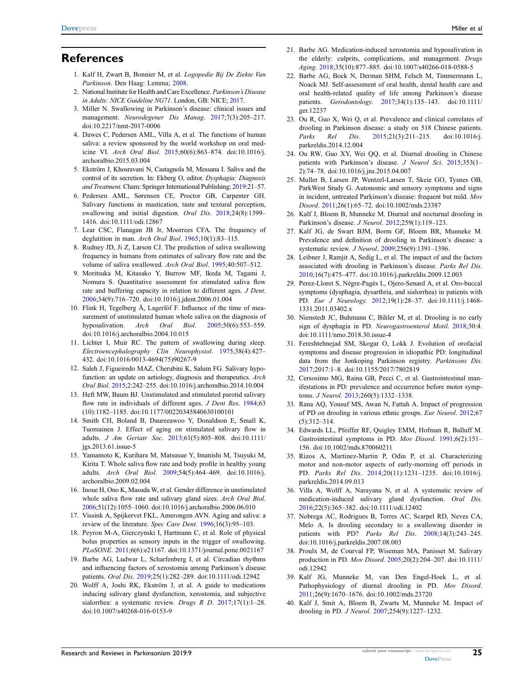# **References**

- <span id="page-8-0"></span>1. Kalf H, Zwart B, Bonnier M, et al. Logopedie Bij De Ziekte Van Parkinson. Den Haag: Lemma; [2008.](#page-0-3)
- <span id="page-8-1"></span>2. National Institute for Health and Care Excellence. Parkinson's Disease in Adults: NICE Guideline NG71. London, GB: NICE; [2017](#page-0-3).
- <span id="page-8-2"></span>3. Miller N. Swallowing in Parkinson's disease: clinical issues and management. Neurodegener Dis Manag. [2017;](#page-1-0)7(3):205–217. doi:[10.2217/nmt-2017-0006](https://doi.org/10.2217/nmt-2017-0006)
- <span id="page-8-3"></span>4. Dawes C, Pedersen AML, Villa A, et al. The functions of human saliva: a review sponsored by the world workshop on oral medicine VI. Arch Oral Biol. [2015](#page-1-1);60(6):863–874. doi:[10.1016/j.](https://doi.org/10.1016/j.archoralbio.2015.03.004) [archoralbio.2015.03.004](https://doi.org/10.1016/j.archoralbio.2015.03.004)
- <span id="page-8-5"></span>5. Ekström J, Khosravani N, Castagnola M, Messana I. Saliva and the control of its secretion. In: Ekberg O, editor. Dysphagia: Diagnosis and Treatment. Cham: Springer International Publishing; [2019](#page-1-2):21–57.
- <span id="page-8-4"></span>6. Pedersen AML, Sørensen CE, Proctor GB, Carpenter GH. Salivary functions in mastication, taste and textural perception, swallowing and initial digestion. Oral Dis. [2018;](#page-1-3)24(8):1399– 1416. doi:[10.1111/odi.12867](https://doi.org/10.1111/odi.12867)
- <span id="page-8-6"></span>7. Lear CSC, Flanagan JB Jr, Moorrees CFA. The frequency of deglutition in man. Arch Oral Biol. [1965;](#page-1-4)10(1):83-115.
- <span id="page-8-7"></span>8. Rudney JD, Ji Z, Larson CJ. The prediction of saliva swallowing frequency in humans from estimates of salivary flow rate and the volume of saliva swallowed. Arch Oral Biol. [1995](#page-1-5);40:507–512.
- <span id="page-8-8"></span>9. Moritsuka M, Kitasako Y, Burrow MF, Ikeda M, Tagami J, Nomura S. Quantitative assessment for stimulated saliva flow rate and buffering capacity in relation to different ages. J Dent. [2006](#page-1-6);34(9):716–720. doi:[10.1016/j.jdent.2006.01.004](https://doi.org/10.1016/j.jdent.2006.01.004)
- <span id="page-8-9"></span>10. Flink H, Tegelberg Å, Lagerlöf F. Influence of the time of measurement of unstimulated human whole saliva on the diagnosis of hyposalivation. Arch Oral Biol. [2005;](#page-1-7)50(6):553–559. doi:[10.1016/j.archoralbio.2004.10.015](https://doi.org/10.1016/j.archoralbio.2004.10.015)
- <span id="page-8-10"></span>11. Lichter I, Muir RC. The pattern of swallowing during sleep. Electroencephalography Clin Neurophysiol. [1975;](#page-1-8)38(4):427– 432. doi:[10.1016/0013-4694\(75\)90267-9](https://doi.org/10.1016/0013-4694(75)90267-9)
- <span id="page-8-11"></span>12. Saleh J, Figueiredo MAZ, Cherubini K, Salum FG. Salivary hypofunction: an update on aetiology, diagnosis and therapeutics. Arch Oral Biol. [2015](#page-1-9);2:242–255. doi:[10.1016/j.archoralbio.2014.10.004](https://doi.org/10.1016/j.archoralbio.2014.10.004)
- <span id="page-8-12"></span>13. Heft MW, Baum BJ. Unstimulated and stimulated parotid salivary flow rate in individuals of different ages. J Dent Res. [1984](#page-1-10);63 (10):1182–1185. doi:[10.1177/00220345840630100101](https://doi.org/10.1177/00220345840630100101)
- <span id="page-8-13"></span>14. Smith CH, Boland B, Daureeawoo Y, Donaldson E, Small K, Tuomainen J. Effect of aging on stimulated salivary flow in adults. J Am Geriatr Soc. [2013;](#page-1-6)61(5):805–808. doi:[10.1111/](https://doi.org/10.1111/jgs.2013.61.issue-5) [jgs.2013.61.issue-5](https://doi.org/10.1111/jgs.2013.61.issue-5)
- <span id="page-8-14"></span>15. Yamamoto K, Kurihara M, Matsusue Y, Imanishi M, Tsuyuki M, Kirita T. Whole saliva flow rate and body profile in healthy young adults. Arch Oral Biol. [2009](#page-1-11);54(5):464–469. doi:[10.1016/j.](https://doi.org/10.1016/j.archoralbio.2009.02.004) [archoralbio.2009.02.004](https://doi.org/10.1016/j.archoralbio.2009.02.004)
- <span id="page-8-15"></span>16. Inoue H, Ono K, Masuda W, et al. Gender difference in unstimulated whole saliva flow rate and salivary gland sizes. Arch Oral Biol. [2006](#page-1-12);51(12):1055–1060. doi:[10.1016/j.archoralbio.2006.06.010](https://doi.org/10.1016/j.archoralbio.2006.06.010)
- <span id="page-8-16"></span>17. Vissink A, Spijkervet FKL, Amerongen AVN. Aging and saliva: a review of the literature. Spec Care Dent. [1996](#page-1-10);16(3):95–103.
- <span id="page-8-17"></span>18. Peyron M-A, Gierczynski I, Hartmann C, et al. Role of physical bolus properties as sensory inputs in the trigger of swallowing. PLoSONE. [2011](#page-1-2);6(6):e21167. doi:[10.1371/journal.pone.0021167](https://doi.org/10.1371/journal.pone.0021167)
- <span id="page-8-18"></span>19. Barbe AG, Ludwar L, Scharfenberg I, et al. Circadian rhythms and influencing factors of xerostomia among Parkinson's disease patients. Oral Dis. [2019](#page-1-2);25(1):282–289. doi:[10.1111/odi.12942](https://doi.org/10.1111/odi.12942)
- <span id="page-8-19"></span>20. Wolff A, Joshi RK, Ekström J, et al. A guide to medications inducing salivary gland dysfunction, xerostomia, and subjective sialorrhea: a systematic review. Drugs R D. [2017;](#page-1-13)17(1):1-28. doi:[10.1007/s40268-016-0153-9](https://doi.org/10.1007/s40268-016-0153-9)
- <span id="page-8-20"></span>21. Barbe AG. Medication-induced xerostomia and hyposalivation in the elderly: culprits, complications, and management. Drugs Aging. [2018;](#page-1-9)35(10):877–885. doi:[10.1007/s40266-018-0588-5](https://doi.org/10.1007/s40266-018-0588-5)
- <span id="page-8-21"></span>22. Barbe AG, Bock N, Derman SHM, Felsch M, Timmermann L, Noack MJ. Self-assessment of oral health, dental health care and oral health-related quality of life among Parkinson's disease patients. Gerodontology. [2017](#page-2-0);34(1):135–143. doi:[10.1111/](https://doi.org/10.1111/ger.12237) [ger.12237](https://doi.org/10.1111/ger.12237)
- <span id="page-8-22"></span>23. Ou R, Guo X, Wei Q, et al. Prevalence and clinical correlates of drooling in Parkinson disease: a study on 518 Chinese patients. Parks Rel Dis. [2015;](#page-2-1)21(3):211–215. doi:[10.1016/j.](https://doi.org/10.1016/j.parkreldis.2014.12.004) [parkreldis.2014.12.004](https://doi.org/10.1016/j.parkreldis.2014.12.004)
- <span id="page-8-35"></span>24. Ou RW, Guo XY, Wei QQ, et al. Diurnal drooling in Chinese patients with Parkinson's disease. J Neurol Sci. [2015;](#page-2-1)353(1-2):74–78. doi:[10.1016/j.jns.2015.04.007](https://doi.org/10.1016/j.jns.2015.04.007)
- <span id="page-8-25"></span>25. Muller B, Larsen JP, Wentzel-Larsen T, Skeie GO, Tysnes OB, ParkWest Study G. Autonomic and sensory symptoms and signs in incident, untreated Parkinson's disease: frequent but mild. Mov Disord. [2011](#page-2-2);26(1):65–72. doi:[10.1002/mds.23387](https://doi.org/10.1002/mds.23387)
- <span id="page-8-30"></span>26. Kalf J, Bloem B, Munneke M. Diurnal and nocturnal drooling in Parkinson's disease. J Neurol. [2012;](#page-2-3)259(1):119-123.
- 27. Kalf JG, de Swart BJM, Borm GF, Bloem BR, Munneke M. Prevalence and definition of drooling in Parkinson's disease: a systematic review. *J Neurol.* 2009;256(9):1391-1396.
- <span id="page-8-26"></span>28. Leibner J, Ramjit A, Sedig L, et al. The impact of and the factors associated with drooling in Parkinson's disease. Parks Rel Dis. [2010](#page-2-1);16(7):475–477. doi:[10.1016/j.parkreldis.2009.12.003](https://doi.org/10.1016/j.parkreldis.2009.12.003)
- <span id="page-8-38"></span>29. Perez-Lloret S, Nègre-Pagès L, Ojero-Senard A, et al. Oro-buccal symptoms (dysphagia, dysarthria, and sialorrhea) in patients with PD. Eur J Neurology. [2012](#page-3-0);19(1):28–37. doi:[10.1111/j.1468-](https://doi.org/10.1111/j.1468-1331.2011.03402.x) [1331.2011.03402.x](https://doi.org/10.1111/j.1468-1331.2011.03402.x)
- <span id="page-8-27"></span>30. Nienstedt JC, Buhmann C, Bihler M, et al. Drooling is no early sign of dysphagia in PD. Neurogastroenterol Motil. [2018;](#page-2-4)30:4. doi:[10.1111/nmo.2018.30.issue-4](https://doi.org/10.1111/nmo.2018.30.issue-4)
- <span id="page-8-31"></span>31. Fereshtehnejad SM, Skogar O, Lokk J. Evolution of orofacial symptoms and disease progression in idiopathic PD: longitudinal data from the Jonkoping Parkinson registry. Parkinsons Dis. [2017](#page-2-5);2017:1–8. doi:[10.1155/2017/7802819](https://doi.org/10.1155/2017/7802819)
- <span id="page-8-23"></span>32. Cersosimo MG, Raina GB, Pecci C, et al. Gastrointestinal manifestations in PD: prevalence and occurrence before motor symptoms. J Neurol. [2013](#page-2-6);260(5):1332–1338.
- <span id="page-8-24"></span>33. Rana AQ, Yousuf MS, Awan N, Fattah A. Impact of progression of PD on drooling in various ethnic groups. Eur Neurol. [2012](#page-2-7);67 (5):312–314.
- <span id="page-8-28"></span>34. Edwards LL, Pfeiffer RF, Quigley EMM, Hofman R, Balluff M. Gastrointestinal symptoms in PD. Mov Disord. [1991;](#page-2-8)6(2):151– 156. doi:[10.1002/mds.870060211](https://doi.org/10.1002/mds.870060211)
- <span id="page-8-29"></span>35. Rizos A, Martinez-Martin P, Odin P, et al. Characterizing motor and non-motor aspects of early-morning off periods in PD. Parks Rel Dis. [2014;](#page-2-9)20(11):1231–1235. doi:[10.1016/j.](https://doi.org/10.1016/j.parkreldis.2014.09.013) [parkreldis.2014.09.013](https://doi.org/10.1016/j.parkreldis.2014.09.013)
- <span id="page-8-32"></span>36. Villa A, Wolff A, Narayana N, et al. A systematic review of medication-induced salivary gland dysfunction. Oral Dis. [2016](#page-2-10);22(5):365–382. doi:[10.1111/odi.12402](https://doi.org/10.1111/odi.12402)
- <span id="page-8-33"></span>37. Nobrega AC, Rodrigues B, Torres AC, Scarpel RD, Neves CA, Melo A. Is drooling secondary to a swallowing disorder in patients with PD? Parks Rel Dis. [2008;](#page-2-11)14(3):243–245. doi:[10.1016/j.parkreldis.2007.08.003](https://doi.org/10.1016/j.parkreldis.2007.08.003)
- <span id="page-8-37"></span>38. Proulx M, de Courval FP, Wiseman MA, Panisset M. Salivary production in PD. Mov Disord. [2005](#page-2-3);20(2):204–207. doi:[10.1111/](https://doi.org/10.1111/odi.12942) [odi.12942](https://doi.org/10.1111/odi.12942)
- <span id="page-8-34"></span>39. Kalf JG, Munneke M, van Den Engel-Hoek L, et al. Pathophysiology of diurnal drooling in PD. Mov Disord. [2011;](#page-2-1)26(9):1670–1676. doi:[10.1002/mds.23720](https://doi.org/10.1002/mds.23720)
- <span id="page-8-36"></span>40. Kalf J, Smit A, Bloem B, Zwarts M, Munneke M. Impact of drooling in PD. J Neurol. [2007](#page-2-3);254(9):1227–1232.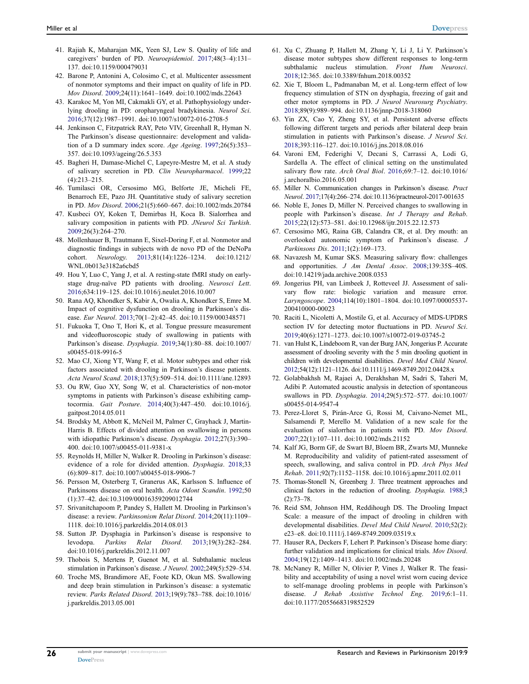- 41. Rajiah K, Maharajan MK, Yeen SJ, Lew S. Quality of life and caregivers' burden of PD. Neuroepidemiol. 2017;48(3–4):131– 137. doi:[10.1159/000479031](https://doi.org/10.1159/000479031)
- <span id="page-9-0"></span>42. Barone P, Antonini A, Colosimo C, et al. Multicenter assessment of nonmotor symptoms and their impact on quality of life in PD. Mov Disord. [2009;](#page-2-0)24(11):1641–1649. doi:[10.1002/mds.22643](https://doi.org/10.1002/mds.22643)
- <span id="page-9-1"></span>43. Karakoc M, Yon MI, Cakmakli GY, et al. Pathophysiology underlying drooling in PD: oropharyngeal bradykinesia. Neurol Sci. [2016](#page-2-1);37(12):1987–1991. doi:[10.1007/s10072-016-2708-5](https://doi.org/10.1007/s10072-016-2708-5)
- <span id="page-9-2"></span>44. Jenkinson C, Fitzpatrick RAY, Peto VIV, Greenhall R, Hyman N. The Parkinson's disease questionnaire: development and validation of a D summary index score. Age Ageing. [1997;](#page-2-12)26(5):353– 357. doi:[10.1093/ageing/26.5.353](https://doi.org/10.1093/ageing/26.5.353)
- <span id="page-9-3"></span>45. Bagheri H, Damase-Michel C, Lapeyre-Mestre M, et al. A study of salivary secretion in PD. Clin Neuropharmacol. [1999](#page-2-3);22 (4):213–215.
- 46. Tumilasci OR, Cersosimo MG, Belforte JE, Micheli FE, Benarroch EE, Pazo JH. Quantitative study of salivary secretion in PD. Mov Disord. 2006;21(5):660–667. doi:[10.1002/mds.20784](https://doi.org/10.1002/mds.20784)
- <span id="page-9-4"></span>47. Kusbeci OY, Koken T, Demirbas H, Koca B. Sialorrhea and salivary composition in patients with PD. JNeurol Sci Turkish. [2009](#page-2-3);26(3):264–270.
- <span id="page-9-5"></span>48. Mollenhauer B, Trautmann E, Sixel-Doring F, et al. Nonmotor and diagnostic findings in subjects with de novo PD of the DeNoPa cohort. Neurology. [2013;](#page-2-13)81(14):1226–1234. doi:[10.1212/](https://doi.org/10.1212/WNL.0b013e3182a6cbd5) [WNL.0b013e3182a6cbd5](https://doi.org/10.1212/WNL.0b013e3182a6cbd5)
- <span id="page-9-6"></span>49. Hou Y, Luo C, Yang J, et al. A resting-state fMRI study on earlystage drug-naïve PD patients with drooling. Neurosci Lett. [2016](#page-2-14);634:119–125. doi:[10.1016/j.neulet.2016.10.007](https://doi.org/10.1016/j.neulet.2016.10.007)
- <span id="page-9-7"></span>50. Rana AQ, Khondker S, Kabir A, Owalia A, Khondker S, Emre M. Impact of cognitive dysfunction on drooling in Parkinson's disease. Eur Neurol. [2013;](#page-2-1)70(1–2):42–45. doi:[10.1159/000348571](https://doi.org/10.1159/000348571)
- <span id="page-9-8"></span>51. Fukuoka T, Ono T, Hori K, et al. Tongue pressure measurement and videofluoroscopic study of swallowing in patients with Parkinson's disease. Dysphagia. [2019](#page-2-1);34(1):80–88. doi:[10.1007/](https://doi.org/10.1007/s00455-018-9916-5) [s00455-018-9916-5](https://doi.org/10.1007/s00455-018-9916-5)
- <span id="page-9-9"></span>52. Mao CJ, Xiong YT, Wang F, et al. Motor subtypes and other risk factors associated with drooling in Parkinson's disease patients. Acta Neurol Scand. [2018;](#page-2-5)137(5):509–514. doi:[10.1111/ane.12893](https://doi.org/10.1111/ane.12893)
- <span id="page-9-10"></span>53. Ou RW, Guo XY, Song W, et al. Characteristics of non-motor symptoms in patients with Parkinson's disease exhibiting camptocormia. Gait Posture. [2014;](#page-3-1)40(3):447–450. doi:[10.1016/j.](https://doi.org/10.1016/j.gaitpost.2014.05.011) [gaitpost.2014.05.011](https://doi.org/10.1016/j.gaitpost.2014.05.011)
- <span id="page-9-11"></span>54. Brodsky M, Abbott K, McNeil M, Palmer C, Grayhack J, Martin-Harris B. Effects of divided attention on swallowing in persons with idiopathic Parkinson's disease. Dysphagia. [2012;](#page-3-2)27(3):390– 400. doi:[10.1007/s00455-011-9381-x](https://doi.org/10.1007/s00455-011-9381-x)
- <span id="page-9-12"></span>55. Reynolds H, Miller N, Walker R. Drooling in Parkinson's disease: evidence of a role for divided attention. Dysphagia. [2018](#page-3-2);33 (6):809–817. doi:[10.1007/s00455-018-9906-7](https://doi.org/10.1007/s00455-018-9906-7)
- <span id="page-9-13"></span>56. Persson M, Osterberg T, Granerus AK, Karlsson S. Influence of Parkinsons disease on oral health. Acta Odont Scandin. [1992](#page-3-3);50 (1):37–42. doi:[10.3109/00016359209012744](https://doi.org/10.3109/00016359209012744)
- <span id="page-9-14"></span>57. Srivanitchapoom P, Pandey S, Hallett M. Drooling in Parkinson's disease: a review. Parkinsonism Relat Disord. [2014](#page-3-4);20(11):1109– 1118. doi:[10.1016/j.parkreldis.2014.08.013](https://doi.org/10.1016/j.parkreldis.2014.08.013)
- <span id="page-9-15"></span>58. Sutton JP. Dysphagia in Parkinson's disease is responsive to levodopa. Parkins Relat Disord. [2013;](#page-3-5)19(3):282–284. doi:[10.1016/j.parkreldis.2012.11.007](https://doi.org/10.1016/j.parkreldis.2012.11.007)
- <span id="page-9-16"></span>59. Thobois S, Mertens P, Guenot M, et al. Subthalamic nucleus stimulation in Parkinson's disease. J Neurol. [2002](#page-3-6);249(5):529–534.
- <span id="page-9-17"></span>60. Troche MS, Brandimore AE, Foote KD, Okun MS. Swallowing and deep brain stimulation in Parkinson's disease: a systematic review. Parks Related Disord. [2013;](#page-3-7)19(9):783–788. doi:[10.1016/](https://doi.org/10.1016/j.parkreldis.2013.05.001) [j.parkreldis.2013.05.001](https://doi.org/10.1016/j.parkreldis.2013.05.001)
- 61. Xu C, Zhuang P, Hallett M, Zhang Y, Li J, Li Y. Parkinson's disease motor subtypes show different responses to long-term subthalamic nucleus stimulation. Front Hum Neurosci. 2018;12:365. doi:[10.3389/fnhum.2018.00352](https://doi.org/10.3389/fnhum.2018.00352)
- 62. Xie T, Bloom L, Padmanaban M, et al. Long-term effect of low frequency stimulation of STN on dysphagia, freezing of gait and other motor symptoms in PD. J Neurol Neurosurg Psychiatry. 2018;89(9):989–994. doi:[10.1136/jnnp-2018-318060](https://doi.org/10.1136/jnnp-2018-318060)
- <span id="page-9-18"></span>63. Yin ZX, Cao Y, Zheng SY, et al. Persistent adverse effects following different targets and periods after bilateral deep brain stimulation in patients with Parkinson's disease. J Neurol Sci. [2018](#page-3-7);393:116–127. doi:[10.1016/j.jns.2018.08.016](https://doi.org/10.1016/j.jns.2018.08.016)
- <span id="page-9-19"></span>64. Varoni EM, Federighi V, Decani S, Carrassi A, Lodi G, Sardella A. The effect of clinical setting on the unstimulated salivary flow rate. Arch Oral Biol. [2016;](#page-3-8)69:7–12. doi:[10.1016/](https://doi.org/10.1016/j.archoralbio.2016.05.001) [j.archoralbio.2016.05.001](https://doi.org/10.1016/j.archoralbio.2016.05.001)
- <span id="page-9-20"></span>65. Miller N. Communication changes in Parkinson's disease. Pract Neurol. [2017](#page-3-9);17(4):266–274. doi:[10.1136/practneurol-2017-001635](https://doi.org/10.1136/practneurol-2017-001635)
- 66. Noble E, Jones D, Miller N. Perceived changes to swallowing in people with Parkinson's disease. Int J Therapy and Rehab. 2015;22(12):573–581. doi:[10.12968/ijtr.2015.22.12.573](https://doi.org/10.12968/ijtr.2015.22.12.573)
- <span id="page-9-21"></span>67. Cersosimo MG, Raina GB, Calandra CR, et al. Dry mouth: an overlooked autonomic symptom of Parkinson's disease. J Parkinsons Dis. [2011](#page-3-9);1(2):169–173.
- <span id="page-9-22"></span>68. Navazesh M, Kumar SKS. Measuring salivary flow: challenges and opportunities. J Am Dental Assoc. [2008](#page-4-0);139:35S-40S. doi:[10.14219/jada.archive.2008.0353](https://doi.org/10.14219/jada.archive.2008.0353)
- <span id="page-9-23"></span>69. Jongerius PH, van Limbeek J, Rotteveel JJ. Assessment of salivary flow rate: biologic variation and measure error. Laryngoscope. [2004](#page-4-0);114(10):1801–1804. doi:[10.1097/00005537-](https://doi.org/10.1097/00005537-200410000-00023) [200410000-00023](https://doi.org/10.1097/00005537-200410000-00023)
- <span id="page-9-24"></span>70. Raciti L, Nicoletti A, Mostile G, et al. Accuracy of MDS-UPDRS section IV for detecting motor fluctuations in PD. Neurol Sci. [2019](#page-4-1);40(6):1271–1273. doi:[10.1007/s10072-019-03745-2](https://doi.org/10.1007/s10072-019-03745-2)
- <span id="page-9-25"></span>71. van Hulst K, Lindeboom R, van der Burg JAN, Jongerius P. Accurate assessment of drooling severity with the 5 min drooling quotient in children with developmental disabilities. Devel Med Child Neurol. [2012](#page-4-2);54(12):1121–1126. doi:[10.1111/j.1469-8749.2012.04428.x](https://doi.org/10.1111/j.1469-8749.2012.04428.x)
- <span id="page-9-26"></span>72. Golabbakhsh M, Rajaei A, Derakhshan M, Sadri S, Taheri M, Adibi P. Automated acoustic analysis in detection of spontaneous swallows in PD. Dysphagia. [2014](#page-4-3);29(5):572–577. doi:[10.1007/](https://doi.org/10.1007/s00455-014-9547-4) [s00455-014-9547-4](https://doi.org/10.1007/s00455-014-9547-4)
- <span id="page-9-27"></span>73. Perez-Lloret S, Pirán-Arce G, Rossi M, Caivano-Nemet ML, Salsamendi P, Merello M. Validation of a new scale for the evaluation of sialorrhea in patients with PD. Mov Disord. [2007](#page-4-4);22(1):107–111. doi:[10.1002/mds.21152](https://doi.org/10.1002/mds.21152)
- <span id="page-9-28"></span>74. Kalf JG, Borm GF, de Swart BJ, Bloem BR, Zwarts MJ, Munneke M. Reproducibility and validity of patient-rated assessment of speech, swallowing, and saliva control in PD. Arch Phys Med Rehab. [2011;](#page-4-5)92(7):1152–1158. doi:[10.1016/j.apmr.2011.02.011](https://doi.org/10.1016/j.apmr.2011.02.011)
- <span id="page-9-29"></span>75. Thomas-Stonell N, Greenberg J. Three treatment approaches and clinical factors in the reduction of drooling. Dysphagia. [1988](#page-4-6);3 (2):73–78.
- <span id="page-9-30"></span>76. Reid SM, Johnson HM, Reddihough DS. The Drooling Impact Scale: a measure of the impact of drooling in children with developmental disabilities. Devel Med Child Neurol. [2010;](#page-4-7)52(2): e23–e8. doi:[10.1111/j.1469-8749.2009.03519.x](https://doi.org/10.1111/j.1469-8749.2009.03519.x)
- <span id="page-9-31"></span>77. Hauser RA, Deckers F, Lehert P. Parkinson's Disease home diary: further validation and implications for clinical trials. Mov Disord. [2004](#page-4-8);19(12):1409–1413. doi:[10.1002/mds.20248](https://doi.org/10.1002/mds.20248)
- <span id="page-9-32"></span>78. McNaney R, Miller N, Olivier P, Vines J, Walker R. The feasibility and acceptability of using a novel wrist worn cueing device to self-manage drooling problems in people with Parkinson's disease. J Rehab Assistive Technol Eng. [2019](#page-4-9);6:1–11. doi:[10.1177/2055668319852529](https://doi.org/10.1177/2055668319852529)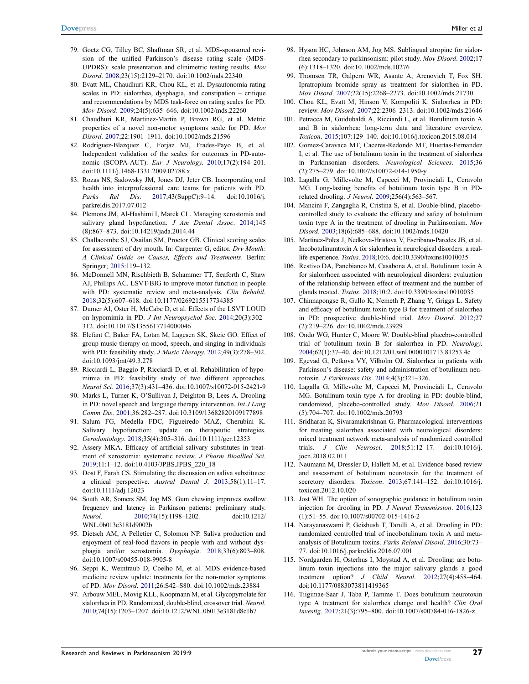- <span id="page-10-0"></span>79. Goetz CG, Tilley BC, Shaftman SR, et al. MDS-sponsored revision of the unified Parkinson's disease rating scale (MDS-UPDRS): scale presentation and clinimetric testing results. Mov Disord. [2008](#page-5-0);23(15):2129–2170. doi:[10.1002/mds.22340](https://doi.org/10.1002/mds.22340)
- <span id="page-10-1"></span>80. Evatt ML, Chaudhuri KR, Chou KL, et al. Dysautonomia rating scales in PD: sialorrhea, dysphagia, and constipation – critique and recommendations by MDS task-force on rating scales for PD. Mov Disord. [2009;](#page-5-1)24(5):635–646. doi:[10.1002/mds.22260](https://doi.org/10.1002/mds.22260)
- <span id="page-10-2"></span>81. Chaudhuri KR, Martinez-Martin P, Brown RG, et al. Metric properties of a novel non-motor symptoms scale for PD. Mov Disord. [2007](#page-5-2);22:1901–1911. doi:[10.1002/mds.21596](https://doi.org/10.1002/mds.21596)
- <span id="page-10-3"></span>82. Rodriguez-Blazquez C, Forjaz MJ, Frades-Payo B, et al. Independent validation of the scales for outcomes in PD-autonomic (SCOPA-AUT). Eur J Neurology. [2010;](#page-5-3)17(2):194–201. doi:[10.1111/j.1468-1331.2009.02788.x](https://doi.org/10.1111/j.1468-1331.2009.02788.x)
- <span id="page-10-4"></span>83. Rozas NS, Sadowsky JM, Jones DJ, Jeter CB. Incorporating oral health into interprofessional care teams for patients with PD. Parks Rel Dis. [2017](#page-5-4);43(SuppC):9–14. doi:[10.1016/j.](https://doi.org/10.1016/j.parkreldis.2017.07.012) [parkreldis.2017.07.012](https://doi.org/10.1016/j.parkreldis.2017.07.012)
- <span id="page-10-5"></span>84. Plemons JM, Al-Hashimi I, Marek CL. Managing xerostomia and salivary gland hypofunction. J Am Dental Assoc. [2014](#page-5-5);145 (8):867–873. doi:[10.14219/jada.2014.44](https://doi.org/10.14219/jada.2014.44)
- <span id="page-10-6"></span>85. Challacombe SJ, Osailan SM, Proctor GB. Clinical scoring scales for assessment of dry mouth. In: Carpenter G, editor. Dry Mouth: A Clinical Guide on Causes, Effects and Treatments. Berlin: Springer; [2015:](#page-5-6)119–132.
- <span id="page-10-7"></span>86. McDonnell MN, Rischbieth B, Schammer TT, Seaforth C, Shaw AJ, Phillips AC. LSVT-BIG to improve motor function in people with PD: systematic review and meta-analysis. Clin Rehabil. [2018](#page-6-0);32(5):607–618. doi:[10.1177/0269215517734385](https://doi.org/10.1177/0269215517734385)
- 87. Dumer AI, Oster H, McCabe D, et al. Effects of the LSVT LOUD on hypomimia in PD. J Int Neuropsychol Soc. 2014;20(3):302– 312. doi:[10.1017/S1355617714000046](https://doi.org/10.1017/S1355617714000046)
- 88. Elefant C, Baker FA, Lotan M, Lagesen SK, Skeie GO. Effect of group music therapy on mood, speech, and singing in individuals with PD: feasibility study. J Music Therapy. 2012;49(3):278–302. doi:[10.1093/jmt/49.3.278](https://doi.org/10.1093/jmt/49.3.278)
- <span id="page-10-8"></span>89. Ricciardi L, Baggio P, Ricciardi D, et al. Rehabilitation of hypomimia in PD: feasibility study of two different approaches. Neurol Sci. [2016;](#page-6-0)37(3):431–436. doi:[10.1007/s10072-015-2421-9](https://doi.org/10.1007/s10072-015-2421-9)
- <span id="page-10-9"></span>90. Marks L, Turner K, O'Sullivan J, Deighton B, Lees A. Drooling in PD: novel speech and language therapy intervention. Int J Lang Comm Dis. [2001;](#page-6-1)36:282–287. doi:[10.3109/13682820109177898](https://doi.org/10.3109/13682820109177898)
- <span id="page-10-10"></span>91. Salum FG, Medella FDC, Figueiredo MAZ, Cherubini K. Salivary hypofunction: update on therapeutic strategies. Gerodontology. [2018;](#page-6-2)35(4):305–316. doi:[10.1111/ger.12353](https://doi.org/10.1111/ger.12353)
- 92. Assery MKA. Efficacy of artificial salivary substitutes in treatment of xerostomia: systematic review. J Pharm Bioallied Sci. 2019;11:1–12. doi:[10.4103/JPBS.JPBS\\_220\\_18](https://doi.org/10.4103/JPBS.JPBS_220_18)
- <span id="page-10-11"></span>93. Dost F, Farah CS. Stimulating the discussion on saliva substitutes: a clinical perspective. Austral Dental J. [2013](#page-6-2);58(1):11–17. doi:[10.1111/adj.12023](https://doi.org/10.1111/adj.12023)
- <span id="page-10-12"></span>94. South AR, Somers SM, Jog MS. Gum chewing improves swallow frequency and latency in Parkinson patients: preliminary study. Neurol. [2010;](#page-6-3)74(15):1198–1202. doi:[10.1212/](https://doi.org/10.1212/WNL.0b013e3181d9002b) [WNL.0b013e3181d9002b](https://doi.org/10.1212/WNL.0b013e3181d9002b)
- <span id="page-10-13"></span>95. Dietsch AM, A Pelletier C, Solomon NP. Saliva production and enjoyment of real-food flavors in people with and without dysphagia and/or xerostomia. Dysphagia. [2018;](#page-6-3)33(6):803–808. doi:[10.1007/s00455-018-9905-8](https://doi.org/10.1007/s00455-018-9905-8)
- <span id="page-10-14"></span>96. Seppi K, Weintraub D, Coelho M, et al. MDS evidence-based medicine review update: treatments for the non-motor symptoms of PD. Mov Disord. [2011;](#page-6-4)26:S42–S80. doi:[10.1002/mds.23884](https://doi.org/10.1002/mds.23884)
- <span id="page-10-15"></span>97. Arbouw MEL, Movig KLL, Koopmann M, et al. Glycopyrrolate for sialorrhea in PD. Randomized, double-blind, crossover trial. Neurol. [2010](#page-6-5);74(15):1203–1207. doi:[10.1212/WNL.0b013e3181d8c1b7](https://doi.org/10.1212/WNL.0b013e3181d8c1b7)
- <span id="page-10-16"></span>98. Hyson HC, Johnson AM, Jog MS. Sublingual atropine for sialorrhea secondary to parkinsonism: pilot study. Mov Disord. [2002](#page-6-6);17 (6):1318–1320. doi:[10.1002/mds.10276](https://doi.org/10.1002/mds.10276)
- <span id="page-10-17"></span>99. Thomsen TR, Galpern WR, Asante A, Arenovich T, Fox SH. Ipratropium bromide spray as treatment for sialorrhea in PD. Mov Disord. [2007;](#page-6-7)22(15):2268–2273. doi:[10.1002/mds.21730](https://doi.org/10.1002/mds.21730)
- <span id="page-10-18"></span>100. Chou KL, Evatt M, Hinson V, Kompoliti K. Sialorrhea in PD: review. Mov Disord. [2007;](#page-7-0)22:2306–2313. doi:[10.1002/mds.21646](https://doi.org/10.1002/mds.21646)
- <span id="page-10-19"></span>101. Petracca M, Guidubaldi A, Ricciardi L, et al. Botulinum toxin A and B in sialorrhea: long-term data and literature overview. Toxicon. [2015;](#page-7-1)107:129–140. doi:[10.1016/j.toxicon.2015.08.014](https://doi.org/10.1016/j.toxicon.2015.08.014)
- <span id="page-10-20"></span>102. Gomez-Caravaca MT, Caceres-Redondo MT, Huertas-Fernandez I, et al. The use of botulinum toxin in the treatment of sialorrhea in Parkinsonian disorders. Neurological Sciences. [2015](#page-7-2);36 (2):275–279. doi:[10.1007/s10072-014-1950-y](https://doi.org/10.1007/s10072-014-1950-y)
- <span id="page-10-21"></span>103. Lagalla G, Millevolte M, Capecci M, Provinciali L, Ceravolo MG. Long-lasting benefits of botulinum toxin type B in PDrelated drooling. J Neurol. [2009](#page-7-3);256(4):563–567.
- 104. Mancini F, Zangaglia R, Cristina S, et al. Double-blind, placebocontrolled study to evaluate the efficacy and safety of botulinum toxin type A in the treatment of drooling in Parkinsonism. Mov Disord. 2003;18(6):685–688. doi:[10.1002/mds.10420](https://doi.org/10.1002/mds.10420)
- 105. Martinez-Poles J, Nedkova-Hristova V, Escribano-Paredes JB, et al. Incobotulinumtoxin A for sialorrhea in neurological disorders: a reallife experience. Toxins. 2018;10:6. doi:[10.3390/toxins10010035](https://doi.org/10.3390/toxins10010035)
- <span id="page-10-27"></span>106. Restivo DA, Panebianco M, Casabona A, et al. Botulinum toxin A for sialorrhoea associated with neurological disorders: evaluation of the relationship between effect of treatment and the number of glands treated. Toxins. [2018;](#page-7-2)10:2. doi:[10.3390/toxins10010035](https://doi.org/10.3390/toxins10010035)
- <span id="page-10-29"></span>107. Chinnapongse R, Gullo K, Nemeth P, Zhang Y, Griggs L. Safety and efficacy of botulinum toxin type B for treatment of sialorrhea in PD: prospective double-blind trial. Mov Disord. [2012](#page-7-1);27 (2):219–226. doi:[10.1002/mds.23929](https://doi.org/10.1002/mds.23929)
- <span id="page-10-30"></span>108. Ondo WG, Hunter C, Moore W. Double-blind placebo-controlled trial of botulinum toxin B for sialorrhea in PD. Neurology. [2004](#page-7-1);62(1):37–40. doi:[10.1212/01.wnl.0000101713.81253.4c](https://doi.org/10.1212/01.wnl.0000101713.81253.4c)
- 109. Egevad G, Petkova VY, Vilholm OJ. Sialorrhea in patients with Parkinson's disease: safety and administration of botulinum neurotoxin. J Parkinsons Dis. 2014;4(3):321–326.
- <span id="page-10-22"></span>110. Lagalla G, Millevolte M, Capecci M, Provinciali L, Ceravolo MG. Botulinum toxin type A for drooling in PD: double-blind, randomized, placebo-controlled study. Mov Disord. [2006](#page-7-3);21 (5):704–707. doi:[10.1002/mds.20793](https://doi.org/10.1002/mds.20793)
- <span id="page-10-23"></span>111. Sridharan K, Sivaramakrishnan G. Pharmacological interventions for treating sialorrhea associated with neurological disorders: mixed treatment network meta-analysis of randomized controlled trials. J Clin Neurosci. [2018;](#page-7-4)51:12–17. doi:[10.1016/j.](https://doi.org/10.1016/j.jocn.2018.02.011) [jocn.2018.02.011](https://doi.org/10.1016/j.jocn.2018.02.011)
- <span id="page-10-24"></span>112. Naumann M, Dressler D, Hallett M, et al. Evidence-based review and assessment of botulinum neurotoxin for the treatment of secretory disorders. Toxicon. [2013;](#page-7-5)67:141–152. doi:[10.1016/j.](https://doi.org/10.1016/j.toxicon.2012.10.020) [toxicon.2012.10.020](https://doi.org/10.1016/j.toxicon.2012.10.020)
- <span id="page-10-25"></span>113. Jost WH. The option of sonographic guidance in botulinum toxin injection for drooling in PD. J Neural Transmission. [2016](#page-7-6);123 (1):51–55. doi:[10.1007/s00702-015-1416-2](https://doi.org/10.1007/s00702-015-1416-2)
- <span id="page-10-26"></span>114. Narayanaswami P, Geisbush T, Tarulli A, et al. Drooling in PD: randomized controlled trial of incobotulinum toxin A and metaanalysis of Botulinum toxins. Parks Related Disord. [2016](#page-7-7);30:73– 77. doi:[10.1016/j.parkreldis.2016.07.001](https://doi.org/10.1016/j.parkreldis.2016.07.001)
- <span id="page-10-28"></span>115. Nordgarden H, Osterhus I, Moystad A, et al. Drooling: are botulinum toxin injections into the major salivary glands a good treatment option? J Child Neurol. [2012;](#page-7-3)27(4):458–464. doi:[10.1177/0883073811419365](https://doi.org/10.1177/0883073811419365)
- <span id="page-10-31"></span>116. Tiigimae-Saar J, Taba P, Tamme T. Does botulinum neurotoxin type A treatment for sialorrhea change oral health? Clin Oral Investig. [2017](#page-7-1);21(3):795–800. doi:[10.1007/s00784-016-1826-z](https://doi.org/10.1007/s00784-016-1826-z)